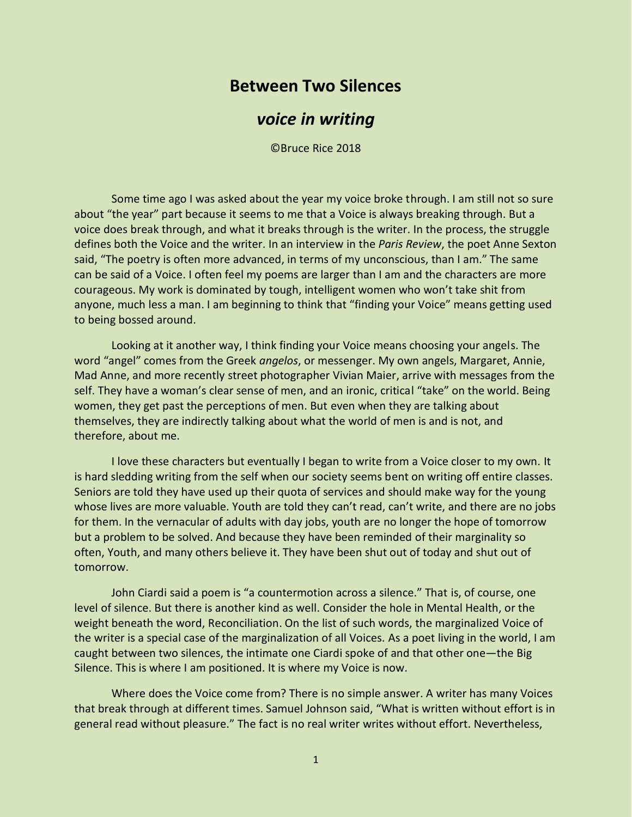## **Between Two Silences**

## *voice in writing*

©Bruce Rice 2018

Some time ago I was asked about the year my voice broke through. I am still not so sure about "the year" part because it seems to me that a Voice is always breaking through. But a voice does break through, and what it breaks through is the writer. In the process, the struggle defines both the Voice and the writer. In an interview in the *Paris Review*, the poet Anne Sexton said, "The poetry is often more advanced, in terms of my unconscious, than I am." The same can be said of a Voice. I often feel my poems are larger than I am and the characters are more courageous. My work is dominated by tough, intelligent women who won't take shit from anyone, much less a man. I am beginning to think that "finding your Voice" means getting used to being bossed around.

Looking at it another way, I think finding your Voice means choosing your angels. The word "angel" comes from the Greek *angelos*, or messenger. My own angels, Margaret, Annie, Mad Anne, and more recently street photographer Vivian Maier, arrive with messages from the self. They have a woman's clear sense of men, and an ironic, critical "take" on the world. Being women, they get past the perceptions of men. But even when they are talking about themselves, they are indirectly talking about what the world of men is and is not, and therefore, about me.

I love these characters but eventually I began to write from a Voice closer to my own. It is hard sledding writing from the self when our society seems bent on writing off entire classes. Seniors are told they have used up their quota of services and should make way for the young whose lives are more valuable. Youth are told they can't read, can't write, and there are no jobs for them. In the vernacular of adults with day jobs, youth are no longer the hope of tomorrow but a problem to be solved. And because they have been reminded of their marginality so often, Youth, and many others believe it. They have been shut out of today and shut out of tomorrow.

John Ciardi said a poem is "a countermotion across a silence." That is, of course, one level of silence. But there is another kind as well. Consider the hole in Mental Health, or the weight beneath the word, Reconciliation. On the list of such words, the marginalized Voice of the writer is a special case of the marginalization of all Voices. As a poet living in the world, I am caught between two silences, the intimate one Ciardi spoke of and that other one—the Big Silence. This is where I am positioned. It is where my Voice is now.

Where does the Voice come from? There is no simple answer. A writer has many Voices that break through at different times. Samuel Johnson said, "What is written without effort is in general read without pleasure." The fact is no real writer writes without effort. Nevertheless,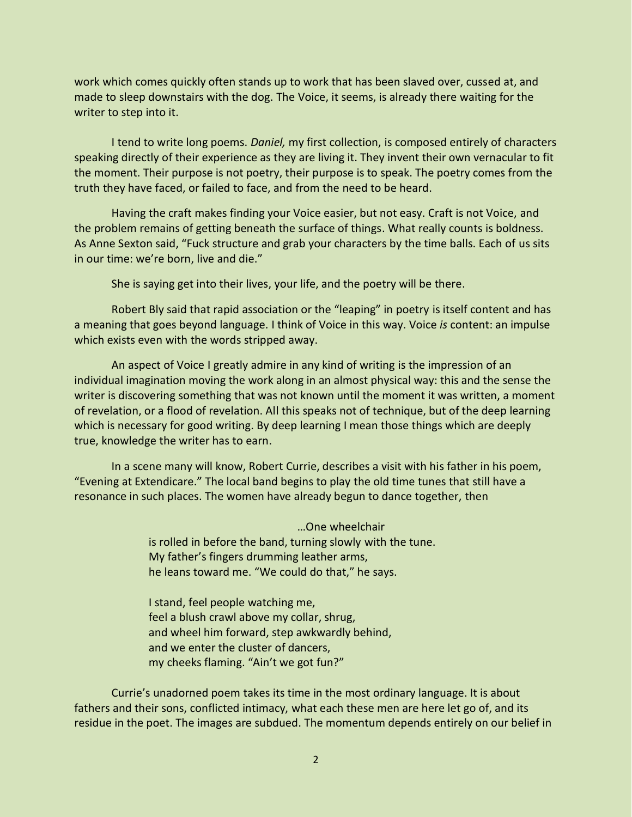work which comes quickly often stands up to work that has been slaved over, cussed at, and made to sleep downstairs with the dog. The Voice, it seems, is already there waiting for the writer to step into it.

I tend to write long poems. *Daniel,* my first collection, is composed entirely of characters speaking directly of their experience as they are living it. They invent their own vernacular to fit the moment. Their purpose is not poetry, their purpose is to speak. The poetry comes from the truth they have faced, or failed to face, and from the need to be heard.

Having the craft makes finding your Voice easier, but not easy. Craft is not Voice, and the problem remains of getting beneath the surface of things. What really counts is boldness. As Anne Sexton said, "Fuck structure and grab your characters by the time balls. Each of us sits in our time: we're born, live and die."

She is saying get into their lives, your life, and the poetry will be there.

Robert Bly said that rapid association or the "leaping" in poetry is itself content and has a meaning that goes beyond language. I think of Voice in this way. Voice *is* content: an impulse which exists even with the words stripped away.

An aspect of Voice I greatly admire in any kind of writing is the impression of an individual imagination moving the work along in an almost physical way: this and the sense the writer is discovering something that was not known until the moment it was written, a moment of revelation, or a flood of revelation. All this speaks not of technique, but of the deep learning which is necessary for good writing. By deep learning I mean those things which are deeply true, knowledge the writer has to earn.

In a scene many will know, Robert Currie, describes a visit with his father in his poem, "Evening at Extendicare." The local band begins to play the old time tunes that still have a resonance in such places. The women have already begun to dance together, then

> …One wheelchair is rolled in before the band, turning slowly with the tune. My father's fingers drumming leather arms, he leans toward me. "We could do that," he says.

I stand, feel people watching me, feel a blush crawl above my collar, shrug, and wheel him forward, step awkwardly behind, and we enter the cluster of dancers, my cheeks flaming. "Ain't we got fun?"

Currie's unadorned poem takes its time in the most ordinary language. It is about fathers and their sons, conflicted intimacy, what each these men are here let go of, and its residue in the poet. The images are subdued. The momentum depends entirely on our belief in